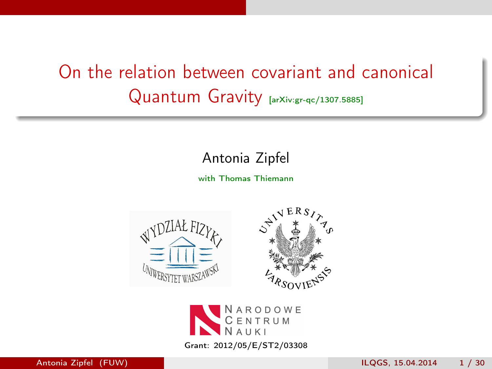### <span id="page-0-0"></span>On the relation between covariant and canonical Quantum Gravity [arXiv:gr-qc/1307.5885]

#### Antonia Zipfel

with Thomas Thiemann



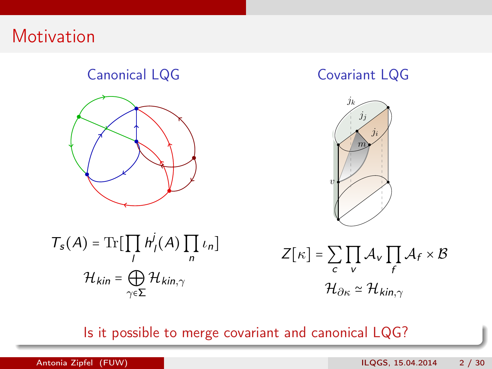### **Motivation**

#### Canonical LQG



#### Covariant LQG



 $T_s(A) = \text{Tr}[\prod$ l  $h^j$  $\int_I(A)\prod$ n  $\iota_n]$  $\mathcal{H}_{kin}$  =  $\bigoplus$  $γ ∈ Σ$  $\mathcal{H}_{\mathit{kin},\gamma}$ 

 $Z[\kappa]$  =  $\sum$ c ∏v  $\mathcal{A}_{\mathcal{V}}$   $\prod$ f  $\mathcal{A}_f \times \mathcal{B}$  $\mathcal{H}_{\partial\kappa}\simeq\mathcal{H}_{\rm kin}$ 

Is it possible to merge covariant and canonical LQG?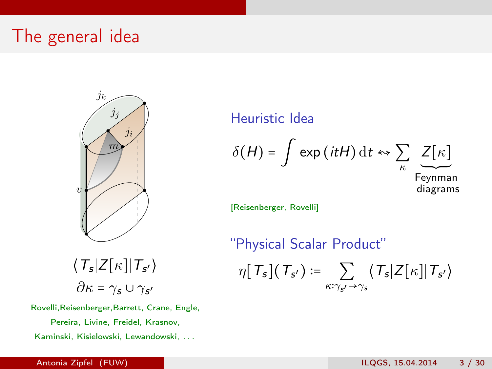### The general idea

v  $m\!\!\!/$  $j_i$  $j_k$  $j_j$ 

Heuristic Idea

$$
\delta(H) = \int \exp\left(itH\right) \mathrm{d}t \leftrightarrow \sum_{\kappa} \underbrace{Z[\kappa]}_{\text{Feynman}}
$$

[Reisenberger, Rovelli]

"Physical Scalar Product"  $\eta[\, {\mathcal T}_{{\mathsf s}}](\, {\mathcal T}_{{\mathsf s}'}) \coloneqq \quad \sum\;\; \langle\, {\mathcal T}_{{\mathsf s}}|{\mathsf Z}[\kappa]|\,{\mathcal T}_{{\mathsf s}'} \rangle$  $\kappa:\gamma_{s} \rightarrow \gamma_{s}$ 

 $\langle\, T_{s} | Z[\kappa] | \,T_{s'} \rangle$  $\partial\kappa$  =  $\gamma_{\bm{s}}$   $\cup$   $\gamma_{\bm{s'}}$ 

Rovelli,Reisenberger,Barrett, Crane, Engle, Pereira, Livine, Freidel, Krasnov, Kaminski, Kisielowski, Lewandowski, . . .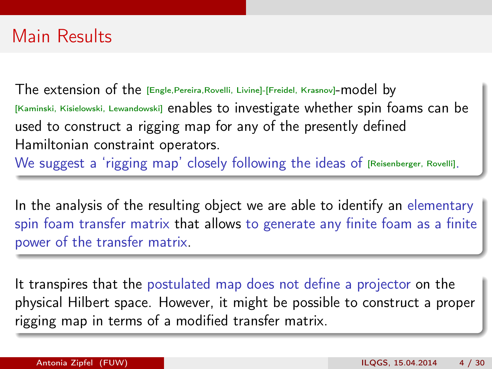### Main Results

The extension of the [Engle,Pereira,Rovelli, Livine]-[Freidel, Krasnov]-model by [Kaminski, Kisielowski, Lewandowski] enables to investigate whether spin foams can be used to construct a rigging map for any of the presently defined Hamiltonian constraint operators.

We suggest a 'rigging map' closely following the ideas of [Reisenberger, Rovelli].

In the analysis of the resulting object we are able to identify an elementary spin foam transfer matrix that allows to generate any finite foam as a finite power of the transfer matrix.

It transpires that the postulated map does not define a projector on the physical Hilbert space. However, it might be possible to construct a proper rigging map in terms of a modified transfer matrix.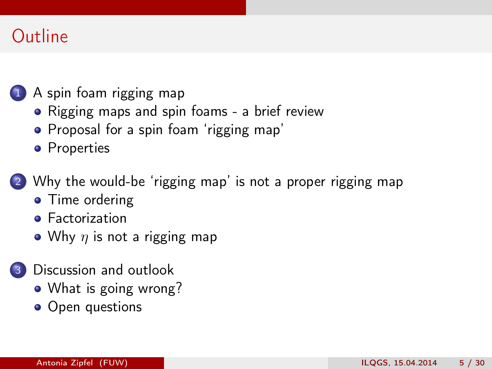### **Outline**

#### 1 [A spin foam rigging map](#page-5-0)

- [Rigging maps and spin foams a brief review](#page-5-0)
- [Proposal for a spin foam 'rigging map'](#page-7-0)
- **•** [Properties](#page-10-0)
- [Why the would-be 'rigging map' is not a proper rigging map](#page-13-0)
	- [Time ordering](#page-14-0)
	- **•** [Factorization](#page-18-0)
	- Why  $\eta$  [is not a rigging map](#page-20-0)
- [Discussion and outlook](#page-22-0)
	- [What is going wrong?](#page-23-0)
	- [Open questions](#page-28-0)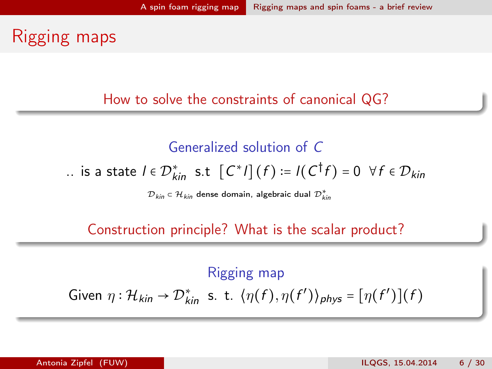### <span id="page-5-0"></span>Rigging maps

How to solve the constraints of canonical QG?

Generalized solution of C .. is a state  $I \in \mathcal{D}_{kin}^*$  s.t  $\left[C^{\ast}I\right](f) \coloneqq I(C^{\dagger}f) = 0 \ \ \forall f \in \mathcal{D}_{kin}$ 

 ${\cal D}_{kin} \in {\cal H}_{kin}$  dense domain, algebraic dual  ${\cal D}_{kin}^*$ 

Construction principle? What is the scalar product?

Rigging map Given  $\eta : \mathcal{H}_{kin} \to \mathcal{D}_{kin}^*$  s. t.  $\langle \eta(f), \eta(f') \rangle_{phys} = [\eta(f')] (f)$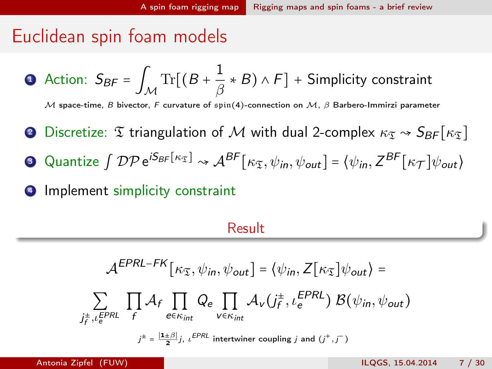#### <span id="page-6-0"></span>Euclidean spin foam models

• Action: 
$$
S_{BF} = \int_{\mathcal{M}} \text{Tr}[(B + \frac{1}{\beta} * B) \wedge F] + \text{Simplicity constraint}
$$

M space-time, B bivector, F curvature of spin(4)-connection on M,  $\beta$  Barbero-Immirzi parameter

- **2** Discretize:  $\mathfrak T$  triangulation of M with dual 2-complex  $\kappa_{\mathfrak T} \sim S_{\mathcal{B}F}[\kappa_{\mathfrak T}]$
- 3 Quantize  $\int \mathcal{DP} e^{i S_{BF}[\kappa_{\mathfrak{T}}]} \rightsquigarrow \mathcal{A}^{BF}[\kappa_{\mathfrak{T}}, \psi_{in}, \psi_{out}] = \langle \psi_{in}, Z^{BF}[\kappa_{\mathcal{T}}] \psi_{out} \rangle$
- 4 Implement simplicity constraint

#### Result

$$
\mathcal{A}^{EPRL-FK}[\kappa_{\mathfrak{T}}, \psi_{in}, \psi_{out}] = \langle \psi_{in}, Z[\kappa_{\mathfrak{T}}] \psi_{out} \rangle =
$$
\n
$$
\sum_{j_f^{\pm}, \iota_e^{EPRL}} \prod_{f} \mathcal{A}_f \prod_{e \in \kappa_{int}} Q_e \prod_{v \in \kappa_{int}} \mathcal{A}_v(j_f^{\pm}, \iota_e^{EPRL}) \mathcal{B}(\psi_{in}, \psi_{out})
$$
\n
$$
j^{\pm} = \frac{|\mathbf{1} \pm \beta|}{2} j, \, \iota_{e}^{EPRL} \text{ intertwiner coupling } j \text{ and } (j^+, j^-)
$$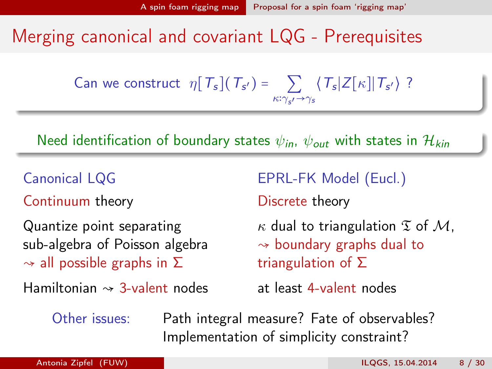### <span id="page-7-0"></span>Merging canonical and covariant LQG - Prerequisites

Can we construct 
$$
\eta[T_s](T_{s'}) = \sum_{\kappa:\gamma_{s'}\to\gamma_s} \langle T_s|Z[\kappa] | T_{s'}\rangle
$$
?

Need identification of boundary states  $\psi_{in}$ ,  $\psi_{out}$  with states in  $\mathcal{H}_{kin}$ 

Canonical LQG

Continuum theory

Quantize point separating sub-algebra of Poisson algebra  $\rightarrow$  all possible graphs in  $\Sigma$ 

Hamiltonian  $\sim$  3-valent nodes

EPRL-FK Model (Eucl.)

Discrete theory

 $\kappa$  dual to triangulation  $\mathfrak T$  of  $\mathcal M$ ,  $\rightarrow$  boundary graphs dual to triangulation of Σ

at least 4-valent nodes

Other issues: Path integral measure? Fate of observables? Implementation of simplicity constraint?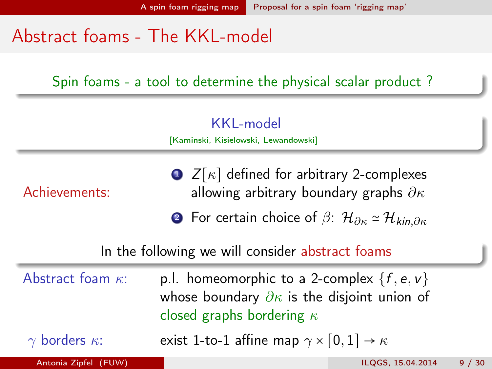### <span id="page-8-0"></span>Abstract foams - The KKL-model

Spin foams - a tool to determine the physical scalar product ?

KKL-model

[Kaminski, Kisielowski, Lewandowski]

Achievements:

 $\bullet$  Z[ $\kappa$ ] defined for arbitrary 2-complexes allowing arbitrary boundary graphs  $\partial \kappa$ 

2 For certain choice of  $\beta$ :  $\mathcal{H}_{\partial K} \simeq \mathcal{H}_{kin,\partial K}$ 

#### In the following we will consider abstract foams

| Abstract foam $\kappa$ :    | p.l. homeomorphic to a 2-complex $\{f, e, v\}$<br>whose boundary $\partial \kappa$ is the disjoint union of<br>closed graphs bordering $\kappa$ |                   |      |
|-----------------------------|-------------------------------------------------------------------------------------------------------------------------------------------------|-------------------|------|
| $\gamma$ borders $\kappa$ : | exist 1-to-1 affine map $\gamma \times [0,1] \rightarrow \kappa$                                                                                |                   |      |
| Antonia Zipfel (FUW)        |                                                                                                                                                 | ILOGS. 15.04.2014 | 9/30 |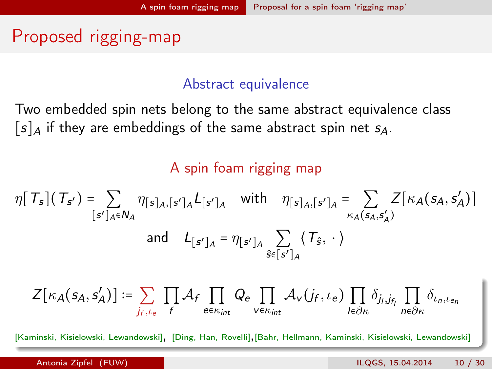### <span id="page-9-0"></span>Proposed rigging-map

#### Abstract equivalence

Two embedded spin nets belong to the same abstract equivalence class  $[s]_A$  if they are embeddings of the same abstract spin net  $s_A$ .

#### A spin foam rigging map

$$
\eta[T_s](T_{s'}) = \sum_{[s']_A \in N_A} \eta_{[s]_A,[s']_A} L_{[s']_A} \quad \text{with} \quad \eta_{[s]_A,[s']_A} = \sum_{\kappa_A(s_A,s'_A)} Z[\kappa_A(s_A,s'_A)]
$$
  
and 
$$
L_{[s']_A} = \eta_{[s']_A} \sum_{\hat{s} \in [s']_A} \langle T_{\hat{s}}, \cdot \rangle
$$

$$
Z[\kappa_A(s_A,s_A')] := \sum_{j_f,\iota_e} \prod_f \mathcal{A}_f \prod_{e\in \kappa_{int}} Q_e \prod_{v\in \kappa_{int}} \mathcal{A}_v(j_f,\iota_e) \prod_{l\in \partial \kappa} \delta_{j_l,j_{f_l}} \prod_{n\in \partial \kappa} \delta_{\iota_n,\iota_{e_n}}
$$

[Kaminski, Kisielowski, Lewandowski], [Ding, Han, Rovelli],[Bahr, Hellmann, Kaminski, Kisielowski, Lewandowski]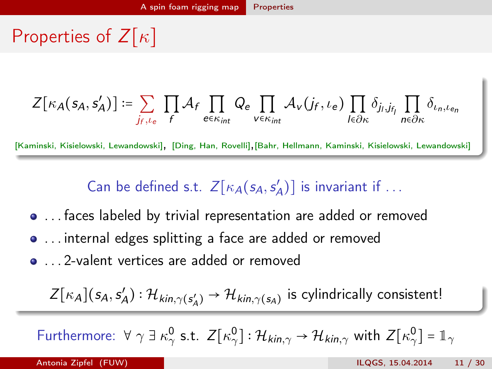<span id="page-10-0"></span>Properties of  $Z[\kappa]$ 

$$
Z[\kappa_A(s_A,s_A')] := \sum_{j_f,\iota_e} \prod_f \mathcal{A}_f \prod_{e \in \kappa_{int}} Q_e \prod_{v \in \kappa_{int}} \mathcal{A}_v(j_f,\iota_e) \prod_{I \in \partial \kappa} \delta_{j_I,j_{f_I}} \prod_{n \in \partial \kappa} \delta_{\iota_n,\iota_{e_n}}
$$

[Kaminski, Kisielowski, Lewandowski], [Ding, Han, Rovelli],[Bahr, Hellmann, Kaminski, Kisielowski, Lewandowski]

Can be defined s.t.  $Z[\kappa_A(s_A,s_A')]$  is invariant if ...

- . . . faces labeled by trivial representation are added or removed
- . . . internal edges splitting a face are added or removed
- ... 2-valent vertices are added or removed

 $Z[\kappa_A](s_A, s_A'): \mathcal{H}_{kin,\gamma(s_A')} \to \mathcal{H}_{kin,\gamma(s_A)}$  is cylindrically consistent!

Furthermore:  $\forall \gamma \exists \kappa_\gamma^0 \text{ s.t. } Z[\kappa_\gamma^0] : \mathcal{H}_{kin,\gamma} \to \mathcal{H}_{kin,\gamma}$  with  $Z[\kappa_\gamma^0] = \mathbb{1}_{\gamma}$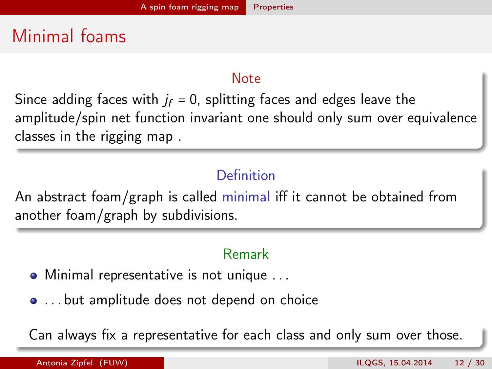### <span id="page-11-0"></span>Minimal foams

#### **Note**

Since adding faces with  $j_f = 0$ , splitting faces and edges leave the amplitude/spin net function invariant one should only sum over equivalence classes in the rigging map .

#### Definition

An abstract foam/graph is called minimal iff it cannot be obtained from another foam/graph by subdivisions.

#### Remark

- Minimal representative is not unique . . .
- . . . but amplitude does not depend on choice

Can always fix a representative for each class and only sum over those.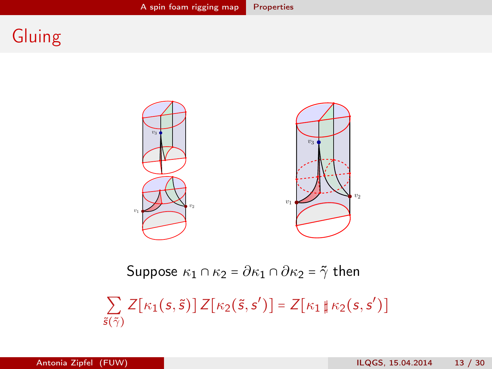### <span id="page-12-0"></span>Gluing



Suppose  $\kappa_1 \cap \kappa_2 = \partial \kappa_1 \cap \partial \kappa_2 = \tilde{\gamma}$  then

∑  $\tilde{\mathsf{s}}(\tilde{\gamma})$  $Z[\kappa_1(s,\tilde{s})]Z[\kappa_2(\tilde{s},s')] = Z[\kappa_1 \sharp \kappa_2(s,s')]$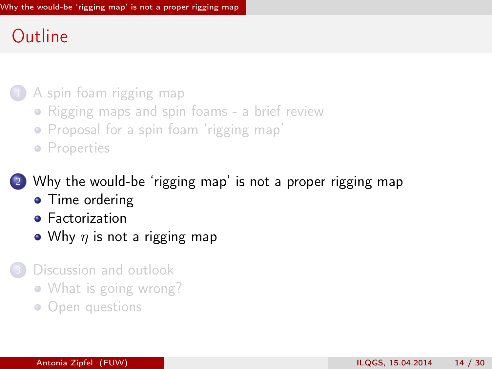### <span id="page-13-0"></span>**Outline**

#### 1 [A spin foam rigging map](#page-5-0)

- [Rigging maps and spin foams a brief review](#page-5-0)
- [Proposal for a spin foam 'rigging map'](#page-7-0)
- **•** [Properties](#page-10-0)

[Why the would-be 'rigging map' is not a proper rigging map](#page-13-0)

- [Time ordering](#page-14-0)
- **•** [Factorization](#page-18-0)
- Why  $\eta$  [is not a rigging map](#page-20-0)
- [Discussion and outlook](#page-22-0)
	- [What is going wrong?](#page-23-0)
	- [Open questions](#page-28-0)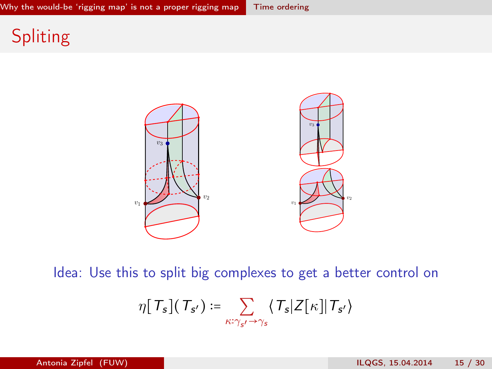### <span id="page-14-0"></span>**Spliting**



Idea: Use this to split big complexes to get a better control on

$$
\eta\big[\,T_{s}\big]\big(\,T_{s'}\big) := \sum_{\kappa:\gamma_{s'}\rightarrow\gamma_{s}}\big\langle\,T_{s}\big|Z\big[\kappa\big]\big|\,T_{s'}\big\rangle
$$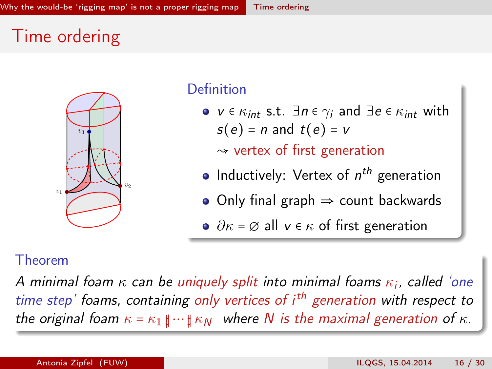### <span id="page-15-0"></span>Time ordering



#### Definition

•  $v \in \kappa_{int}$  s.t.  $\exists n \in \gamma_i$  and  $\exists e \in \kappa_{int}$  with  $s(e) = n$  and  $t(e) = v$ 

 $\sim$  vertex of first generation

- Inductively: Vertex of  $n^{th}$  generation
- $\bullet$  Only final graph  $\Rightarrow$  count backwards
- $\partial \kappa = \varnothing$  all  $v \in \kappa$  of first generation

#### Theorem

A minimal foam  $\kappa$  can be uniquely split into minimal foams  $\kappa_i$ , called 'one time step' foams, containing only vertices of i<sup>th</sup> generation with respect to the original foam  $\kappa = \kappa_1 \sharp \cdots \sharp \kappa_N$  where N is the maximal generation of  $\kappa$ .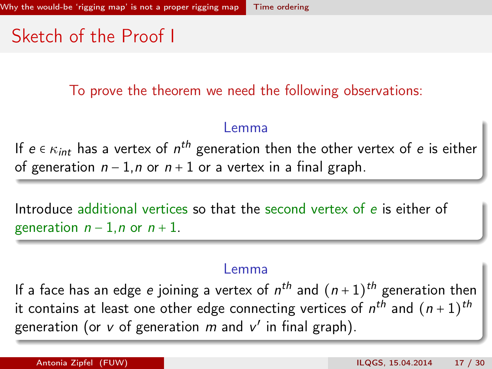### <span id="page-16-0"></span>Sketch of the Proof I

To prove the theorem we need the following observations:

#### Lemma

If  $e \in \kappa_{int}$  has a vertex of  $n^{th}$  generation then the other vertex of  $e$  is either of generation  $n - 1$ , n or  $n + 1$  or a vertex in a final graph.

Introduce additional vertices so that the second vertex of e is either of generation  $n - 1$ , n or  $n + 1$ .

#### Lemma

If a face has an edge  $e$  joining a vertex of  $n^{th}$  and  $(n+1)^{th}$  generation then it contains at least one other edge connecting vertices of  $n^{th}$  and  $(n+1)^{th}$ generation (or  $v$  of generation  $m$  and  $v'$  in final graph).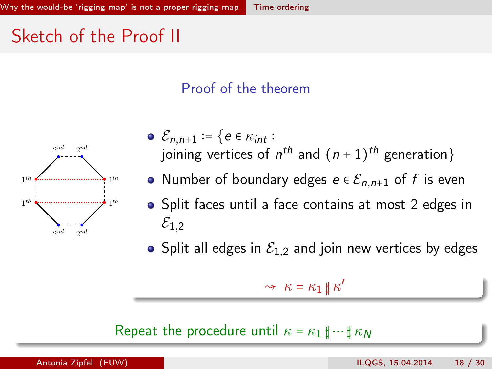### <span id="page-17-0"></span>Sketch of the Proof II

#### Proof of the theorem



• 
$$
\mathcal{E}_{n,n+1} := \{ e \in \kappa_{int} :
$$
  
joining vertices of  $n^{th}$  and  $(n+1)^{th}$  generation\}

- Number of boundary edges  $e \in \mathcal{E}_{n,n+1}$  of f is even
- Split faces until a face contains at most 2 edges in  $\mathcal{E}_{1,2}$
- Split all edges in  $\mathcal{E}_{1,2}$  and join new vertices by edges

$$
\sim \kappa = \kappa_1 \mathbin{\sharp} \kappa'
$$

Repeat the procedure until  $\kappa = \kappa_1 \mathbf{t} \cdots \mathbf{t} \kappa_N$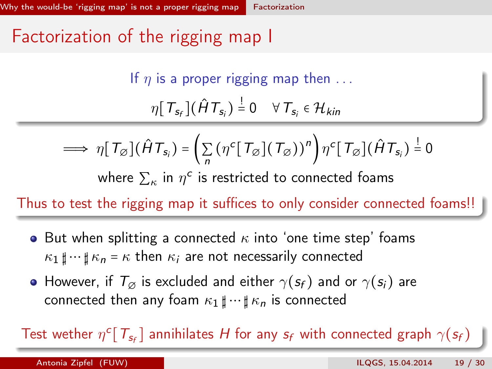### <span id="page-18-0"></span>Factorization of the rigging map I

If  $\eta$  is a proper rigging map then ...  $\eta[\,T_{s_f}\,](\hat{H}\,T_{s_i})\stackrel{!}{=}0 \quad \forall\, T_{s_i}\in\mathcal{H}_{kin}$ 

$$
\implies \eta[T_{\varnothing}](\hat{H}T_{s_i}) = \left(\sum_n (\eta^c[T_{\varnothing}](T_{\varnothing}))^n\right) \eta^c[T_{\varnothing}](\hat{H}T_{s_i}) = 0
$$

where  $\sum_{\kappa}$  in  $\eta^{\texttt{c}}$  is restricted to connected foams

Thus to test the rigging map it suffices to only consider connected foams!!

- But when splitting a connected  $\kappa$  into 'one time step' foams  $\kappa_1 \text{ }\mathbf{t} \cdots \text{ }\mathbf{t} \kappa_n = \kappa$  then  $\kappa_i$  are not necessarily connected
- However, if  $T_{\emptyset}$  is excluded and either  $\gamma(s_f)$  and or  $\gamma(s_i)$  are connected then any foam  $\kappa_1 \sharp \cdots \sharp \kappa_n$  is connected

Test wether  $\eta^c[T_{s_f}]$  annihilates H for any  $s_f$  with connected graph  $\gamma(s_f)$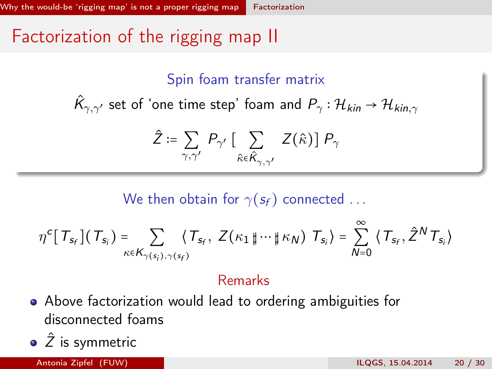### <span id="page-19-0"></span>Factorization of the rigging map II

#### Spin foam transfer matrix

 $\hat{\mathcal{K}}_{\gamma,\gamma'}$  set of 'one time step' foam and  $P_\gamma:\mathcal{H}_{\mathsf{kin}}\to\mathcal{H}_{\mathsf{kin},\gamma}$ 

$$
\hat{Z} \coloneqq \sum_{\gamma, \gamma'} P_{\gamma'} \left[ \sum_{\hat{\kappa} \in \hat{K}_{\gamma, \gamma'}} Z(\hat{\kappa}) \right] P_{\gamma}
$$

We then obtain for  $\gamma(s_f)$  connected ...

$$
\eta^{c} [T_{s_f}](T_{s_i}) = \sum_{\kappa \in K_{\gamma(s_i), \gamma(s_f)}} \langle T_{s_f}, Z(\kappa_1 \, \sharp \, \cdots \, \sharp \, \kappa_N) \, T_{s_i} \rangle = \sum_{N=0}^{\infty} \langle T_{s_f}, \hat{Z}^N T_{s_i} \rangle
$$

#### Remarks

- Above factorization would lead to ordering ambiguities for disconnected foams
- $\hat{Z}$  is symmetric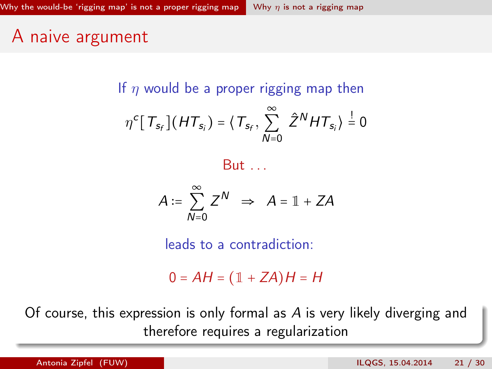### <span id="page-20-0"></span>A naive argument

If  $\eta$  would be a proper rigging map then

$$
\eta^{c} [T_{s_f}](HT_{s_i}) = \langle T_{s_f}, \sum_{N=0}^{\infty} \hat{Z}^{N} HT_{s_i} \rangle \stackrel{!}{=} 0
$$



$$
A := \sum_{N=0}^{\infty} Z^N \implies A = \mathbb{1} + ZA
$$

leads to a contradiction:

 $0 = AH = (1 + ZA)H = H$ 

Of course, this expression is only formal as A is very likely diverging and therefore requires a regularization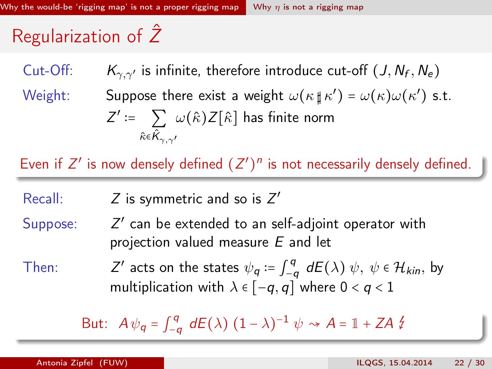## <span id="page-21-0"></span>Regularization of  $\hat{Z}$

Cut-Off:  $K_{\gamma,\gamma'}$  is infinite, therefore introduce cut-off  $(J,N_f,N_e)$ 

Weight: Suppose there exist a weight  $\omega(\kappa \, \sharp \, \kappa') = \omega(\kappa) \omega(\kappa')$  s.t.  $Z' \coloneqq -\sum_{\alpha} \omega(\hat{\kappa}) Z[\hat{\kappa}]$  has finite norm  $\hat\kappa$ є $\hat{\mathsf K}_{\gamma, \gamma'}$ 

Even if  $Z'$  is now densely defined  $(Z')^n$  is not necessarily densely defined.

Recall:  $Z$  is symmetric and so is  $Z'$ 

Suppose: ′ can be extended to an self-adjoint operator with projection valued measure E and let

Then:  $'$  acts on the states  $\psi_{\boldsymbol{q}} \coloneqq \int_{-\alpha}^{\boldsymbol{q}}$  $\int_{-q}^{q}$  d $E(\lambda)$   $\psi$ ,  $\psi$  ∈  $\mathcal{H}_{kin}$ , by multiplication with  $\lambda \in [-q, q]$  where  $0 < q < 1$ 

> But:  $A \psi_q = \int_{-q}^{q}$  $\int_{-q}^{q} dE(\lambda) (1-\lambda)^{-1} \psi \rightsquigarrow A = \mathbb{1} + ZA \nmid Z$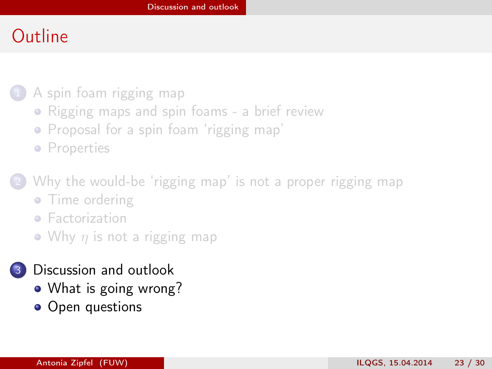### <span id="page-22-0"></span>**Outline**

#### 1 [A spin foam rigging map](#page-5-0)

- [Rigging maps and spin foams a brief review](#page-5-0)
- [Proposal for a spin foam 'rigging map'](#page-7-0)
- **•** [Properties](#page-10-0)

[Why the would-be 'rigging map' is not a proper rigging map](#page-13-0)

- [Time ordering](#page-14-0)
- **•** [Factorization](#page-18-0)
- Why  $\eta$  [is not a rigging map](#page-20-0)

#### [Discussion and outlook](#page-22-0)

- [What is going wrong?](#page-23-0)
- [Open questions](#page-28-0)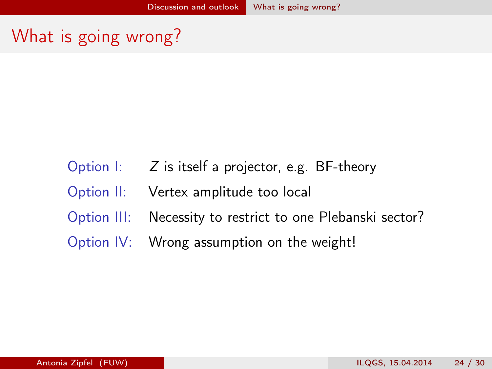- <span id="page-23-0"></span>Option  $I: Z$  is itself a projector, e.g. BF-theory
- Option II: Vertex amplitude too local
- Option III: Necessity to restrict to one Plebanski sector?
- Option IV: Wrong assumption on the weight!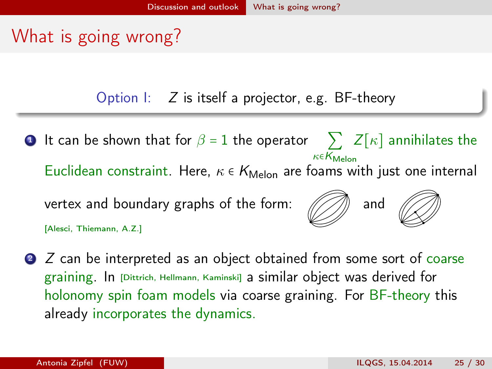<span id="page-24-0"></span>Option  $\mathsf{I}: \mathsf{Z}$  is itself a projector, e.g. BF-theory

 $\textbf{\textsf{D}}$  It can be shown that for  $\beta$  = 1 the operator  $\quad \sum \; Z[\kappa]$  annihilates the  $\kappa \in K_{\text{Melon}}$ Euclidean constraint. Here,  $\kappa \in K_{\text{Melon}}$  are foams with just one internal vertex and boundary graphs of the form:  $\mathcal{N}\rightarrow\mathbb{R}$  and [Alesci, Thiemann, A.Z.]

2 Z can be interpreted as an object obtained from some sort of coarse graining. In [Dittrich, Hellmann, Kaminski] a similar object was derived for holonomy spin foam models via coarse graining. For BF-theory this already incorporates the dynamics.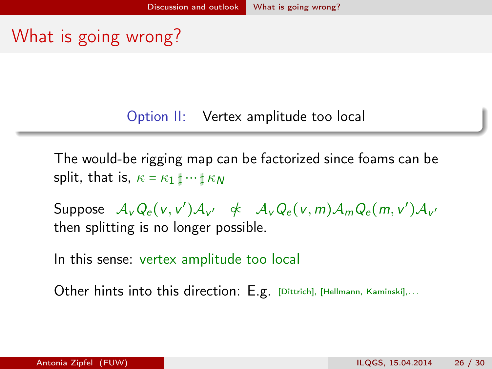<span id="page-25-0"></span>Option II: Vertex amplitude too local

The would-be rigging map can be factorized since foams can be split, that is,  $\kappa = \kappa_1 \mathbf{t} \cdots \mathbf{t} \kappa_N$ 

Suppose  $\mathcal{A}_v Q_e (v, v') \mathcal{A}_{v'}$   $\not\prec \mathcal{A}_v Q_e (v, m) \mathcal{A}_m Q_e (m, v') \mathcal{A}_{v'}$ then splitting is no longer possible.

In this sense: vertex amplitude too local

Other hints into this direction: E.g. [Dittrich], [Hellmann, Kaminski],...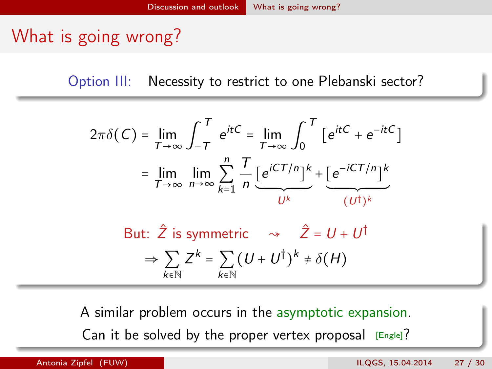<span id="page-26-0"></span>Option III: Necessity to restrict to one Plebanski sector?

$$
2\pi\delta(C) = \lim_{T \to \infty} \int_{-T}^{T} e^{itC} = \lim_{T \to \infty} \int_{0}^{T} \left[ e^{itC} + e^{-itC} \right]
$$

$$
= \lim_{T \to \infty} \lim_{n \to \infty} \sum_{k=1}^{n} \frac{T}{n} \underbrace{\left[ e^{iCT/n} \right]^k}_{U^k} + \underbrace{\left[ e^{-iCT/n} \right]^k}_{(U^{\dagger})^k}
$$

But:  $\hat{Z}$  is symmetric  $\sim \hat{Z} = U + U^{\dagger}$  $\Rightarrow \sum Z^k = \sum (U + U^{\dagger})^k \neq \delta(H)$ k∈N  $k \in \mathbb{N}$ 

A similar problem occurs in the asymptotic expansion. Can it be solved by the proper vertex proposal  $[Engle]$ ?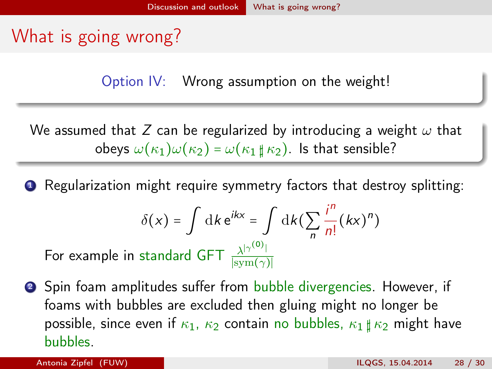<span id="page-27-0"></span>Option IV: Wrong assumption on the weight!

We assumed that Z can be regularized by introducing a weight  $\omega$  that obeys  $\omega(\kappa_1)\omega(\kappa_2) = \omega(\kappa_1 \sharp \kappa_2)$ . Is that sensible?

**1** Regularization might require symmetry factors that destroy splitting:

$$
\delta(x) = \int \mathrm{d}k \, \mathrm{e}^{ikx} = \int \mathrm{d}k \big( \sum_{n} \frac{i^{n}}{n!} (kx)^{n} \big)
$$

For example in standard GFT  $\frac{\lambda^{|\gamma^{(0)}|}}{\text{sum}(\gamma)}$  $|\text{sym}(\gamma)|$ 

**2** Spin foam amplitudes suffer from bubble divergencies. However, if foams with bubbles are excluded then gluing might no longer be possible, since even if  $\kappa_1$ ,  $\kappa_2$  contain no bubbles,  $\kappa_1 \nparallel \kappa_2$  might have bubbles.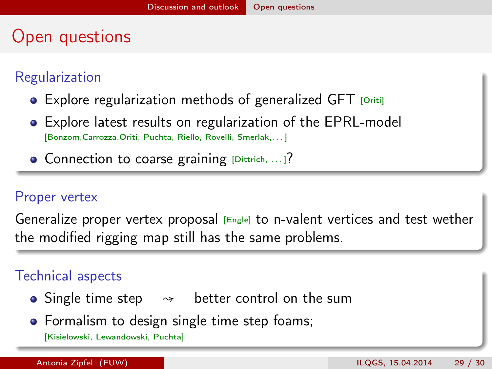### <span id="page-28-0"></span>Open questions

#### Regularization

- Explore regularization methods of generalized GFT [Oriti]
- Explore latest results on regularization of the EPRL-model [Bonzom,Carrozza,Oriti, Puchta, Riello, Rovelli, Smerlak,. . . ]
- **Connection to coarse graining [Dittrich, ...]?**

#### Proper vertex

Generalize proper vertex proposal  $_{[Engel]}$  to n-valent vertices and test wether the modified rigging map still has the same problems.

#### Technical aspects

- Single time step  $\rightarrow$  better control on the sum
- Formalism to design single time step foams;

[Kisielowski, Lewandowski, Puchta]